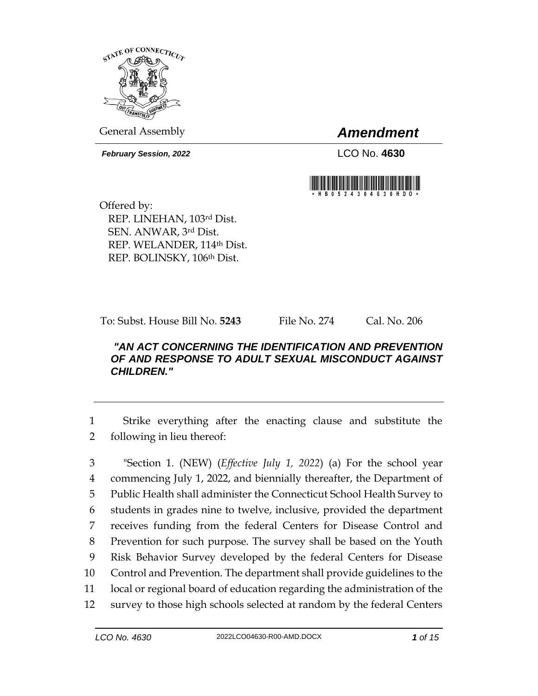

General Assembly *Amendment*

*February Session, 2022* LCO No. **4630**



Offered by: REP. LINEHAN, 103rd Dist. SEN. ANWAR, 3rd Dist. REP. WELANDER, 114th Dist. REP. BOLINSKY, 106th Dist.

To: Subst. House Bill No. **5243** File No. 274 Cal. No. 206

## *"AN ACT CONCERNING THE IDENTIFICATION AND PREVENTION OF AND RESPONSE TO ADULT SEXUAL MISCONDUCT AGAINST CHILDREN."*

1 Strike everything after the enacting clause and substitute the 2 following in lieu thereof:

 "Section 1. (NEW) (*Effective July 1, 2022*) (a) For the school year commencing July 1, 2022, and biennially thereafter, the Department of Public Health shall administer the Connecticut School Health Survey to students in grades nine to twelve, inclusive, provided the department receives funding from the federal Centers for Disease Control and Prevention for such purpose. The survey shall be based on the Youth Risk Behavior Survey developed by the federal Centers for Disease Control and Prevention. The department shall provide guidelines to the local or regional board of education regarding the administration of the survey to those high schools selected at random by the federal Centers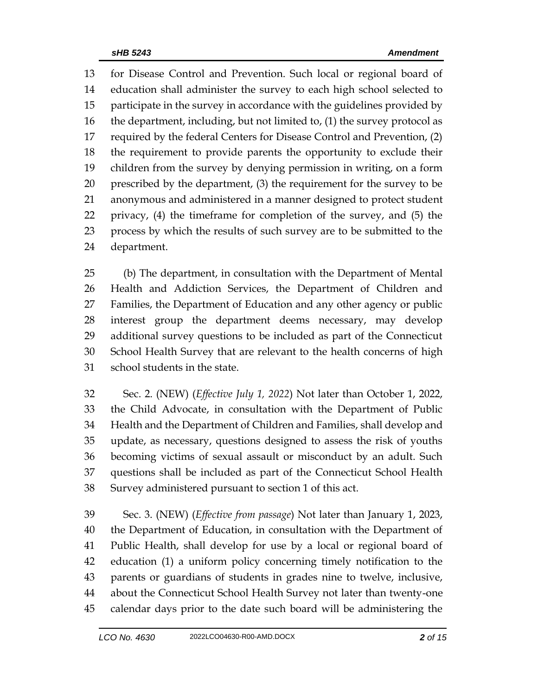for Disease Control and Prevention. Such local or regional board of education shall administer the survey to each high school selected to participate in the survey in accordance with the guidelines provided by the department, including, but not limited to, (1) the survey protocol as required by the federal Centers for Disease Control and Prevention, (2) the requirement to provide parents the opportunity to exclude their children from the survey by denying permission in writing, on a form prescribed by the department, (3) the requirement for the survey to be anonymous and administered in a manner designed to protect student privacy, (4) the timeframe for completion of the survey, and (5) the process by which the results of such survey are to be submitted to the department.

 (b) The department, in consultation with the Department of Mental Health and Addiction Services, the Department of Children and Families, the Department of Education and any other agency or public interest group the department deems necessary, may develop additional survey questions to be included as part of the Connecticut School Health Survey that are relevant to the health concerns of high school students in the state.

 Sec. 2. (NEW) (*Effective July 1, 2022*) Not later than October 1, 2022, the Child Advocate, in consultation with the Department of Public Health and the Department of Children and Families, shall develop and update, as necessary, questions designed to assess the risk of youths becoming victims of sexual assault or misconduct by an adult. Such questions shall be included as part of the Connecticut School Health Survey administered pursuant to section 1 of this act.

 Sec. 3. (NEW) (*Effective from passage*) Not later than January 1, 2023, the Department of Education, in consultation with the Department of Public Health, shall develop for use by a local or regional board of education (1) a uniform policy concerning timely notification to the parents or guardians of students in grades nine to twelve, inclusive, about the Connecticut School Health Survey not later than twenty-one calendar days prior to the date such board will be administering the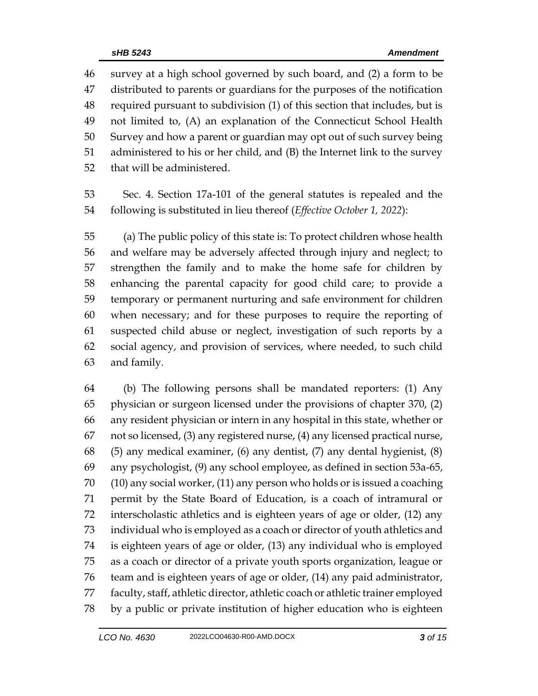survey at a high school governed by such board, and (2) a form to be distributed to parents or guardians for the purposes of the notification required pursuant to subdivision (1) of this section that includes, but is not limited to, (A) an explanation of the Connecticut School Health Survey and how a parent or guardian may opt out of such survey being administered to his or her child, and (B) the Internet link to the survey that will be administered.

 Sec. 4. Section 17a-101 of the general statutes is repealed and the following is substituted in lieu thereof (*Effective October 1, 2022*):

 (a) The public policy of this state is: To protect children whose health and welfare may be adversely affected through injury and neglect; to strengthen the family and to make the home safe for children by enhancing the parental capacity for good child care; to provide a temporary or permanent nurturing and safe environment for children when necessary; and for these purposes to require the reporting of suspected child abuse or neglect, investigation of such reports by a social agency, and provision of services, where needed, to such child and family.

 (b) The following persons shall be mandated reporters: (1) Any physician or surgeon licensed under the provisions of chapter 370, (2) any resident physician or intern in any hospital in this state, whether or not so licensed, (3) any registered nurse, (4) any licensed practical nurse, (5) any medical examiner, (6) any dentist, (7) any dental hygienist, (8) any psychologist, (9) any school employee, as defined in section 53a-65, (10) any social worker, (11) any person who holds or is issued a coaching permit by the State Board of Education, is a coach of intramural or interscholastic athletics and is eighteen years of age or older, (12) any individual who is employed as a coach or director of youth athletics and is eighteen years of age or older, (13) any individual who is employed as a coach or director of a private youth sports organization, league or team and is eighteen years of age or older, (14) any paid administrator, faculty, staff, athletic director, athletic coach or athletic trainer employed by a public or private institution of higher education who is eighteen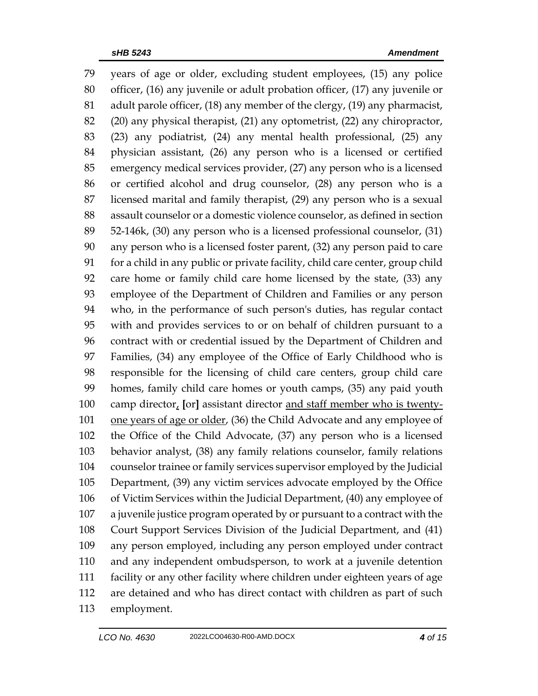years of age or older, excluding student employees, (15) any police officer, (16) any juvenile or adult probation officer, (17) any juvenile or adult parole officer, (18) any member of the clergy, (19) any pharmacist, (20) any physical therapist, (21) any optometrist, (22) any chiropractor, (23) any podiatrist, (24) any mental health professional, (25) any physician assistant, (26) any person who is a licensed or certified emergency medical services provider, (27) any person who is a licensed or certified alcohol and drug counselor, (28) any person who is a licensed marital and family therapist, (29) any person who is a sexual assault counselor or a domestic violence counselor, as defined in section 52-146k, (30) any person who is a licensed professional counselor, (31) any person who is a licensed foster parent, (32) any person paid to care for a child in any public or private facility, child care center, group child care home or family child care home licensed by the state, (33) any employee of the Department of Children and Families or any person who, in the performance of such person's duties, has regular contact with and provides services to or on behalf of children pursuant to a contract with or credential issued by the Department of Children and Families, (34) any employee of the Office of Early Childhood who is responsible for the licensing of child care centers, group child care homes, family child care homes or youth camps, (35) any paid youth camp director, **[**or**]** assistant director and staff member who is twenty-101 one years of age or older, (36) the Child Advocate and any employee of the Office of the Child Advocate, (37) any person who is a licensed behavior analyst, (38) any family relations counselor, family relations counselor trainee or family services supervisor employed by the Judicial Department, (39) any victim services advocate employed by the Office of Victim Services within the Judicial Department, (40) any employee of a juvenile justice program operated by or pursuant to a contract with the Court Support Services Division of the Judicial Department, and (41) any person employed, including any person employed under contract and any independent ombudsperson, to work at a juvenile detention facility or any other facility where children under eighteen years of age are detained and who has direct contact with children as part of such employment.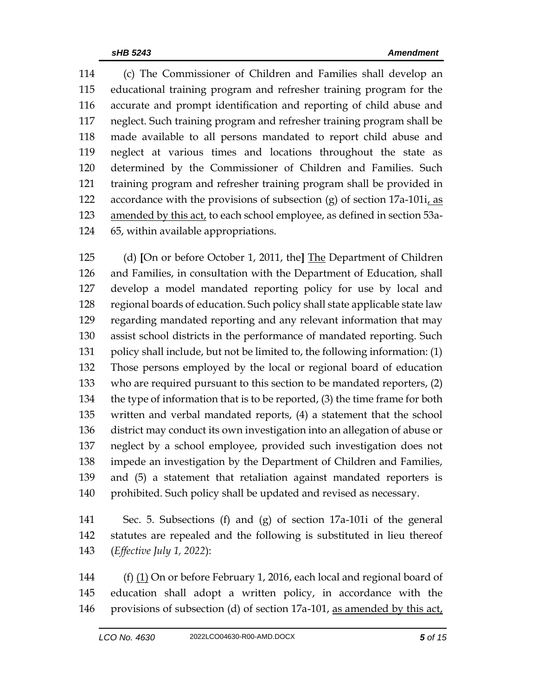(c) The Commissioner of Children and Families shall develop an educational training program and refresher training program for the accurate and prompt identification and reporting of child abuse and neglect. Such training program and refresher training program shall be made available to all persons mandated to report child abuse and neglect at various times and locations throughout the state as determined by the Commissioner of Children and Families. Such training program and refresher training program shall be provided in accordance with the provisions of subsection (g) of section 17a-101i, as amended by this act, to each school employee, as defined in section 53a-65, within available appropriations.

 (d) **[**On or before October 1, 2011, the**]** The Department of Children and Families, in consultation with the Department of Education, shall develop a model mandated reporting policy for use by local and regional boards of education. Such policy shall state applicable state law regarding mandated reporting and any relevant information that may assist school districts in the performance of mandated reporting. Such policy shall include, but not be limited to, the following information: (1) Those persons employed by the local or regional board of education who are required pursuant to this section to be mandated reporters, (2) the type of information that is to be reported, (3) the time frame for both written and verbal mandated reports, (4) a statement that the school district may conduct its own investigation into an allegation of abuse or neglect by a school employee, provided such investigation does not impede an investigation by the Department of Children and Families, and (5) a statement that retaliation against mandated reporters is prohibited. Such policy shall be updated and revised as necessary.

 Sec. 5. Subsections (f) and (g) of section 17a-101i of the general statutes are repealed and the following is substituted in lieu thereof (*Effective July 1, 2022*):

 (f) (1) On or before February 1, 2016, each local and regional board of education shall adopt a written policy, in accordance with the provisions of subsection (d) of section 17a-101, as amended by this act,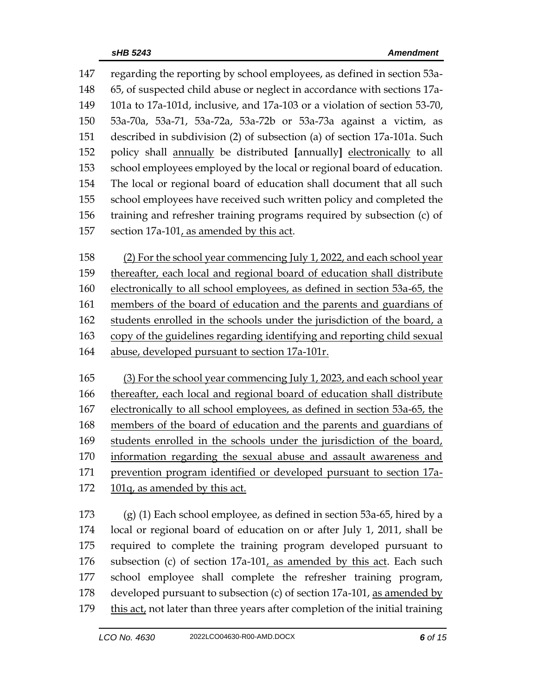regarding the reporting by school employees, as defined in section 53a- 65, of suspected child abuse or neglect in accordance with sections 17a- 101a to 17a-101d, inclusive, and 17a-103 or a violation of section 53-70, 53a-70a, 53a-71, 53a-72a, 53a-72b or 53a-73a against a victim, as described in subdivision (2) of subsection (a) of section 17a-101a. Such policy shall annually be distributed **[**annually**]** electronically to all school employees employed by the local or regional board of education. The local or regional board of education shall document that all such school employees have received such written policy and completed the training and refresher training programs required by subsection (c) of section 17a-101, as amended by this act.

 (2) For the school year commencing July 1, 2022, and each school year thereafter, each local and regional board of education shall distribute electronically to all school employees, as defined in section 53a-65, the members of the board of education and the parents and guardians of students enrolled in the schools under the jurisdiction of the board, a copy of the guidelines regarding identifying and reporting child sexual abuse, developed pursuant to section 17a-101r.

 (3) For the school year commencing July 1, 2023, and each school year thereafter, each local and regional board of education shall distribute electronically to all school employees, as defined in section 53a-65, the members of the board of education and the parents and guardians of students enrolled in the schools under the jurisdiction of the board, information regarding the sexual abuse and assault awareness and prevention program identified or developed pursuant to section 17a-101q, as amended by this act.

 (g) (1) Each school employee, as defined in section 53a-65, hired by a local or regional board of education on or after July 1, 2011, shall be required to complete the training program developed pursuant to subsection (c) of section 17a-101, as amended by this act. Each such school employee shall complete the refresher training program, developed pursuant to subsection (c) of section 17a-101, as amended by this act, not later than three years after completion of the initial training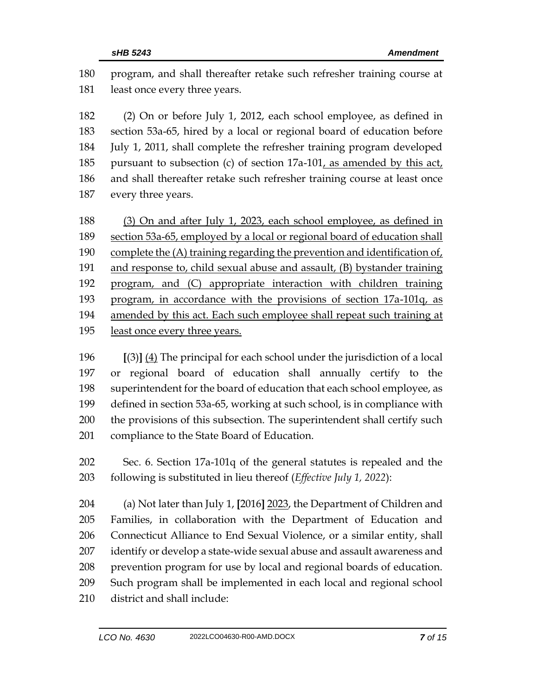program, and shall thereafter retake such refresher training course at least once every three years.

 (2) On or before July 1, 2012, each school employee, as defined in section 53a-65, hired by a local or regional board of education before July 1, 2011, shall complete the refresher training program developed 185 pursuant to subsection (c) of section  $17a-101$ , as amended by this act, and shall thereafter retake such refresher training course at least once every three years.

188 (3) On and after July 1, 2023, each school employee, as defined in section 53a-65, employed by a local or regional board of education shall complete the (A) training regarding the prevention and identification of, and response to, child sexual abuse and assault, (B) bystander training program, and (C) appropriate interaction with children training program, in accordance with the provisions of section 17a-101q, as amended by this act. Each such employee shall repeat such training at least once every three years.

 **[**(3)**]** (4) The principal for each school under the jurisdiction of a local or regional board of education shall annually certify to the superintendent for the board of education that each school employee, as defined in section 53a-65, working at such school, is in compliance with the provisions of this subsection. The superintendent shall certify such compliance to the State Board of Education.

 Sec. 6. Section 17a-101q of the general statutes is repealed and the following is substituted in lieu thereof (*Effective July 1, 2022*):

 (a) Not later than July 1, **[**2016**]** 2023, the Department of Children and Families, in collaboration with the Department of Education and Connecticut Alliance to End Sexual Violence, or a similar entity, shall identify or develop a state-wide sexual abuse and assault awareness and prevention program for use by local and regional boards of education. Such program shall be implemented in each local and regional school district and shall include: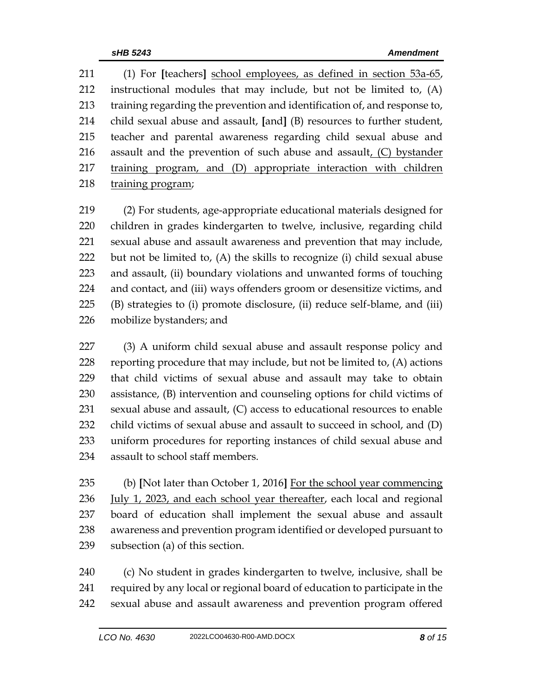(1) For **[**teachers**]** school employees, as defined in section 53a-65, instructional modules that may include, but not be limited to, (A) training regarding the prevention and identification of, and response to, child sexual abuse and assault, **[**and**]** (B) resources to further student, teacher and parental awareness regarding child sexual abuse and assault and the prevention of such abuse and assault, (C) bystander training program, and (D) appropriate interaction with children training program;

 (2) For students, age-appropriate educational materials designed for children in grades kindergarten to twelve, inclusive, regarding child sexual abuse and assault awareness and prevention that may include, but not be limited to, (A) the skills to recognize (i) child sexual abuse and assault, (ii) boundary violations and unwanted forms of touching and contact, and (iii) ways offenders groom or desensitize victims, and (B) strategies to (i) promote disclosure, (ii) reduce self-blame, and (iii) mobilize bystanders; and

 (3) A uniform child sexual abuse and assault response policy and 228 reporting procedure that may include, but not be limited to,  $(A)$  actions that child victims of sexual abuse and assault may take to obtain assistance, (B) intervention and counseling options for child victims of sexual abuse and assault, (C) access to educational resources to enable child victims of sexual abuse and assault to succeed in school, and (D) uniform procedures for reporting instances of child sexual abuse and assault to school staff members.

 (b) **[**Not later than October 1, 2016**]** For the school year commencing July 1, 2023, and each school year thereafter, each local and regional board of education shall implement the sexual abuse and assault awareness and prevention program identified or developed pursuant to subsection (a) of this section.

 (c) No student in grades kindergarten to twelve, inclusive, shall be required by any local or regional board of education to participate in the sexual abuse and assault awareness and prevention program offered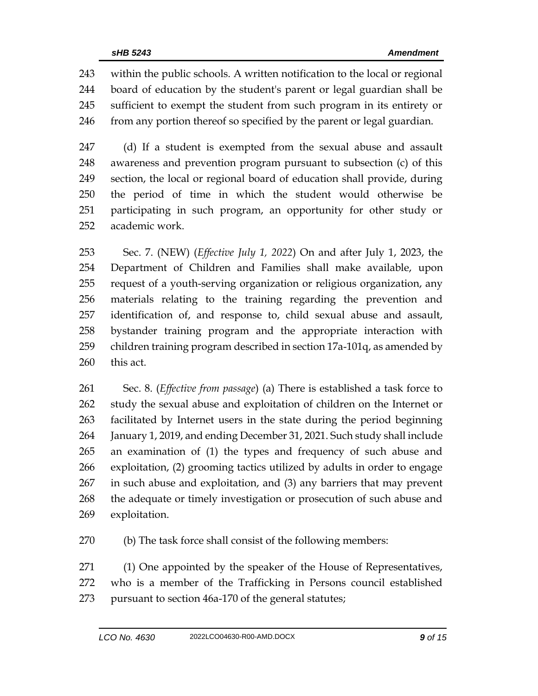within the public schools. A written notification to the local or regional board of education by the student's parent or legal guardian shall be sufficient to exempt the student from such program in its entirety or from any portion thereof so specified by the parent or legal guardian.

 (d) If a student is exempted from the sexual abuse and assault awareness and prevention program pursuant to subsection (c) of this section, the local or regional board of education shall provide, during the period of time in which the student would otherwise be participating in such program, an opportunity for other study or academic work.

 Sec. 7. (NEW) (*Effective July 1, 2022*) On and after July 1, 2023, the Department of Children and Families shall make available, upon request of a youth-serving organization or religious organization, any materials relating to the training regarding the prevention and identification of, and response to, child sexual abuse and assault, bystander training program and the appropriate interaction with children training program described in section 17a-101q, as amended by this act.

 Sec. 8. (*Effective from passage*) (a) There is established a task force to study the sexual abuse and exploitation of children on the Internet or facilitated by Internet users in the state during the period beginning January 1, 2019, and ending December 31, 2021. Such study shall include an examination of (1) the types and frequency of such abuse and exploitation, (2) grooming tactics utilized by adults in order to engage in such abuse and exploitation, and (3) any barriers that may prevent the adequate or timely investigation or prosecution of such abuse and exploitation.

(b) The task force shall consist of the following members:

 (1) One appointed by the speaker of the House of Representatives, who is a member of the Trafficking in Persons council established pursuant to section 46a-170 of the general statutes;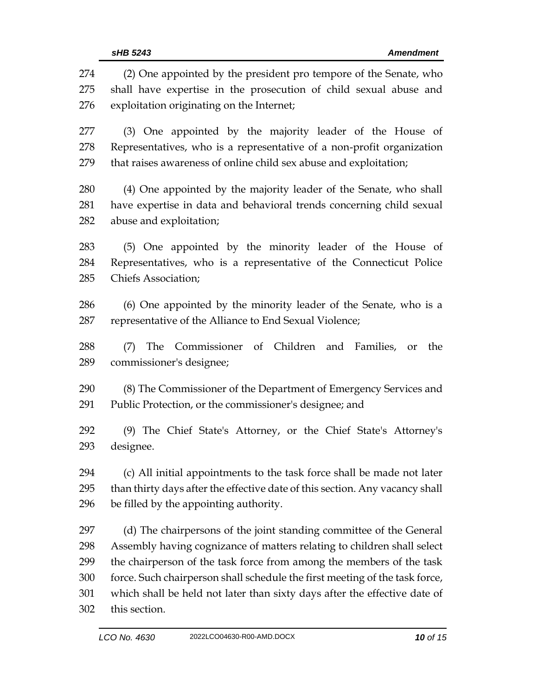(2) One appointed by the president pro tempore of the Senate, who shall have expertise in the prosecution of child sexual abuse and exploitation originating on the Internet; (3) One appointed by the majority leader of the House of Representatives, who is a representative of a non-profit organization that raises awareness of online child sex abuse and exploitation; (4) One appointed by the majority leader of the Senate, who shall have expertise in data and behavioral trends concerning child sexual abuse and exploitation; (5) One appointed by the minority leader of the House of Representatives, who is a representative of the Connecticut Police Chiefs Association; (6) One appointed by the minority leader of the Senate, who is a representative of the Alliance to End Sexual Violence; (7) The Commissioner of Children and Families, or the commissioner's designee; (8) The Commissioner of the Department of Emergency Services and Public Protection, or the commissioner's designee; and (9) The Chief State's Attorney, or the Chief State's Attorney's designee. (c) All initial appointments to the task force shall be made not later than thirty days after the effective date of this section. Any vacancy shall be filled by the appointing authority. (d) The chairpersons of the joint standing committee of the General Assembly having cognizance of matters relating to children shall select the chairperson of the task force from among the members of the task force. Such chairperson shall schedule the first meeting of the task force, which shall be held not later than sixty days after the effective date of this section.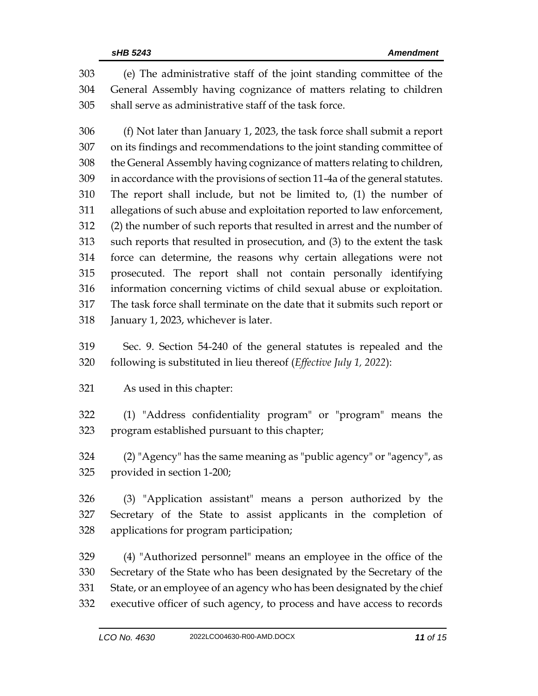(e) The administrative staff of the joint standing committee of the General Assembly having cognizance of matters relating to children shall serve as administrative staff of the task force.

 (f) Not later than January 1, 2023, the task force shall submit a report on its findings and recommendations to the joint standing committee of the General Assembly having cognizance of matters relating to children, in accordance with the provisions of section 11-4a of the general statutes. The report shall include, but not be limited to, (1) the number of allegations of such abuse and exploitation reported to law enforcement, (2) the number of such reports that resulted in arrest and the number of such reports that resulted in prosecution, and (3) to the extent the task force can determine, the reasons why certain allegations were not prosecuted. The report shall not contain personally identifying information concerning victims of child sexual abuse or exploitation. The task force shall terminate on the date that it submits such report or January 1, 2023, whichever is later.

 Sec. 9. Section 54-240 of the general statutes is repealed and the following is substituted in lieu thereof (*Effective July 1, 2022*):

As used in this chapter:

 (1) "Address confidentiality program" or "program" means the program established pursuant to this chapter;

 (2) "Agency" has the same meaning as "public agency" or "agency", as provided in section 1-200;

 (3) "Application assistant" means a person authorized by the Secretary of the State to assist applicants in the completion of applications for program participation;

 (4) "Authorized personnel" means an employee in the office of the Secretary of the State who has been designated by the Secretary of the State, or an employee of an agency who has been designated by the chief executive officer of such agency, to process and have access to records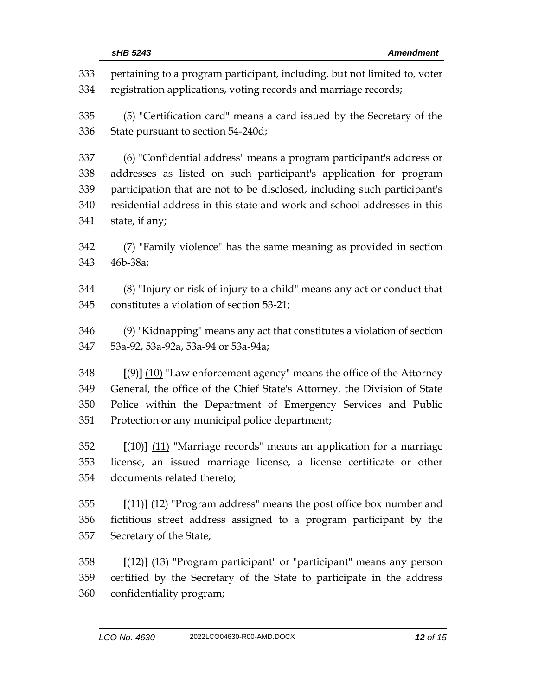| 333 | pertaining to a program participant, including, but not limited to, voter |  |  |
|-----|---------------------------------------------------------------------------|--|--|
| 334 | registration applications, voting records and marriage records;           |  |  |
| 335 | (5) "Certification card" means a card issued by the Secretary of the      |  |  |
| 336 | State pursuant to section 54-240d;                                        |  |  |
| 337 | (6) "Confidential address" means a program participant's address or       |  |  |
| 338 | addresses as listed on such participant's application for program         |  |  |
| 339 | participation that are not to be disclosed, including such participant's  |  |  |
| 340 | residential address in this state and work and school addresses in this   |  |  |
| 341 | state, if any;                                                            |  |  |
| 342 | (7) "Family violence" has the same meaning as provided in section         |  |  |
| 343 | 46b-38a;                                                                  |  |  |
| 344 | (8) "Injury or risk of injury to a child" means any act or conduct that   |  |  |
| 345 | constitutes a violation of section 53-21;                                 |  |  |
| 346 | (9) "Kidnapping" means any act that constitutes a violation of section    |  |  |
| 347 | 53a-92, 53a-92a, 53a-94 or 53a-94a;                                       |  |  |
| 348 | $[9]$ $(10)$ "Law enforcement agency" means the office of the Attorney    |  |  |
| 349 | General, the office of the Chief State's Attorney, the Division of State  |  |  |
| 350 | Police within the Department of Emergency Services and Public             |  |  |
| 351 | Protection or any municipal police department;                            |  |  |
| 352 | $[(10)]$ $(11)$ "Marriage records" means an application for a marriage    |  |  |
| 353 | license, an issued marriage license, a license certificate or other       |  |  |
| 354 | documents related thereto;                                                |  |  |
| 355 | $[(11)]$ $(12)$ "Program address" means the post office box number and    |  |  |
| 356 | fictitious street address assigned to a program participant by the        |  |  |
| 357 | Secretary of the State;                                                   |  |  |
| 358 | $[(12)]$ $(13)$ "Program participant" or "participant" means any person   |  |  |
| 359 | certified by the Secretary of the State to participate in the address     |  |  |
| 360 | confidentiality program;                                                  |  |  |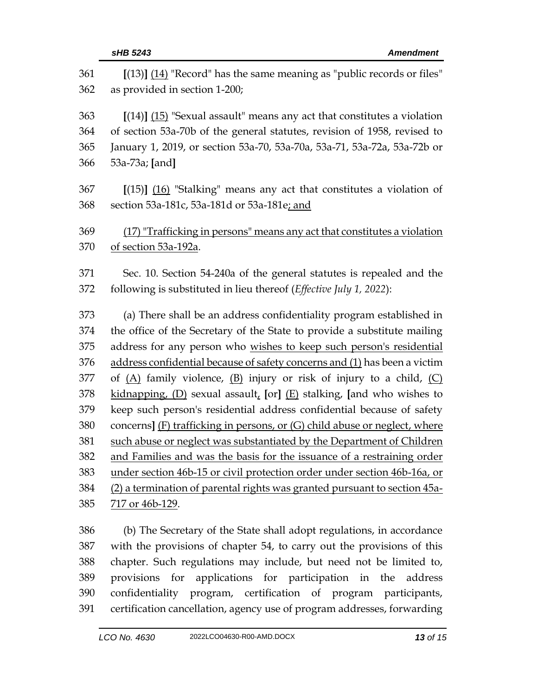| 361 | $[(13)]$ $(14)$ "Record" has the same meaning as "public records or files"  |
|-----|-----------------------------------------------------------------------------|
| 362 | as provided in section 1-200;                                               |
| 363 | $[(14)]$ $(15)$ "Sexual assault" means any act that constitutes a violation |
| 364 | of section 53a-70b of the general statutes, revision of 1958, revised to    |
| 365 | January 1, 2019, or section 53a-70, 53a-70a, 53a-71, 53a-72a, 53a-72b or    |
| 366 | 53a-73a; [and]                                                              |
| 367 | $[(15)]$ $(16)$ "Stalking" means any act that constitutes a violation of    |
| 368 | section 53a-181c, 53a-181d or 53a-181e; and                                 |
| 369 | (17) "Trafficking in persons" means any act that constitutes a violation    |
| 370 | of section 53a-192a.                                                        |
| 371 | Sec. 10. Section 54-240a of the general statutes is repealed and the        |
| 372 | following is substituted in lieu thereof (Effective July 1, 2022):          |
| 373 | (a) There shall be an address confidentiality program established in        |
| 374 | the office of the Secretary of the State to provide a substitute mailing    |
| 375 | address for any person who wishes to keep such person's residential         |
| 376 | address confidential because of safety concerns and (1) has been a victim   |
| 377 | of $(A)$ family violence, $(B)$ injury or risk of injury to a child, $(C)$  |
| 378 | kidnapping, $(D)$ sexual assault, [or] $(E)$ stalking, [and who wishes to   |
| 379 | keep such person's residential address confidential because of safety       |
| 380 | concerns] (F) trafficking in persons, or (G) child abuse or neglect, where  |
| 381 | such abuse or neglect was substantiated by the Department of Children       |
| 382 | and Families and was the basis for the issuance of a restraining order      |
| 383 | under section 46b-15 or civil protection order under section 46b-16a, or    |
| 384 | (2) a termination of parental rights was granted pursuant to section 45a-   |
| 385 | 717 or 46b-129.                                                             |
| 386 | (b) The Secretary of the State shall adopt regulations, in accordance       |
| 387 | with the provisions of chapter 54, to carry out the provisions of this      |
| 388 | chapter. Such regulations may include, but need not be limited to,          |

 provisions for applications for participation in the address confidentiality program, certification of program participants, certification cancellation, agency use of program addresses, forwarding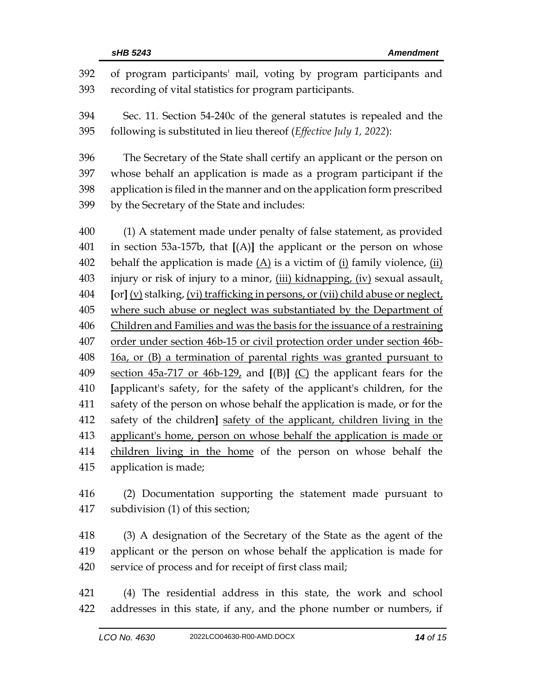| 392<br>393 | of program participants' mail, voting by program participants and<br>recording of vital statistics for program participants. |
|------------|------------------------------------------------------------------------------------------------------------------------------|
| 394        | Sec. 11. Section 54-240c of the general statutes is repealed and the                                                         |
| 395        | following is substituted in lieu thereof (Effective July 1, 2022):                                                           |
| 396        | The Secretary of the State shall certify an applicant or the person on                                                       |
| 397        | whose behalf an application is made as a program participant if the                                                          |
| 398        | application is filed in the manner and on the application form prescribed                                                    |
| 399        | by the Secretary of the State and includes:                                                                                  |
| 400        | (1) A statement made under penalty of false statement, as provided                                                           |
| 401        | in section 53a-157b, that $[(A)]$ the applicant or the person on whose                                                       |
| 402        | behalf the application is made $(A)$ is a victim of $(i)$ family violence, $(ii)$                                            |
| 403        | injury or risk of injury to a minor, (iii) kidnapping, (iv) sexual assault,                                                  |
| 404        | [or] (v) stalking, (vi) trafficking in persons, or (vii) child abuse or neglect,                                             |
| 405        | where such abuse or neglect was substantiated by the Department of                                                           |
| 406        | Children and Families and was the basis for the issuance of a restraining                                                    |
| 407        | order under section 46b-15 or civil protection order under section 46b-                                                      |
| 408        | 16a, or (B) a termination of parental rights was granted pursuant to                                                         |
| 409        | section $45a-717$ or $46b-129$ , and $[(B)]$ (C) the applicant fears for the                                                 |
| 410        | [applicant's safety, for the safety of the applicant's children, for the                                                     |
| 411        | safety of the person on whose behalf the application is made, or for the                                                     |
| 412        | safety of the children] safety of the applicant, children living in the                                                      |
| 413        | applicant's home, person on whose behalf the application is made or                                                          |
| 414        | children living in the home of the person on whose behalf the                                                                |
| 415        | application is made;                                                                                                         |

 (2) Documentation supporting the statement made pursuant to subdivision (1) of this section;

 (3) A designation of the Secretary of the State as the agent of the applicant or the person on whose behalf the application is made for service of process and for receipt of first class mail;

 (4) The residential address in this state, the work and school addresses in this state, if any, and the phone number or numbers, if